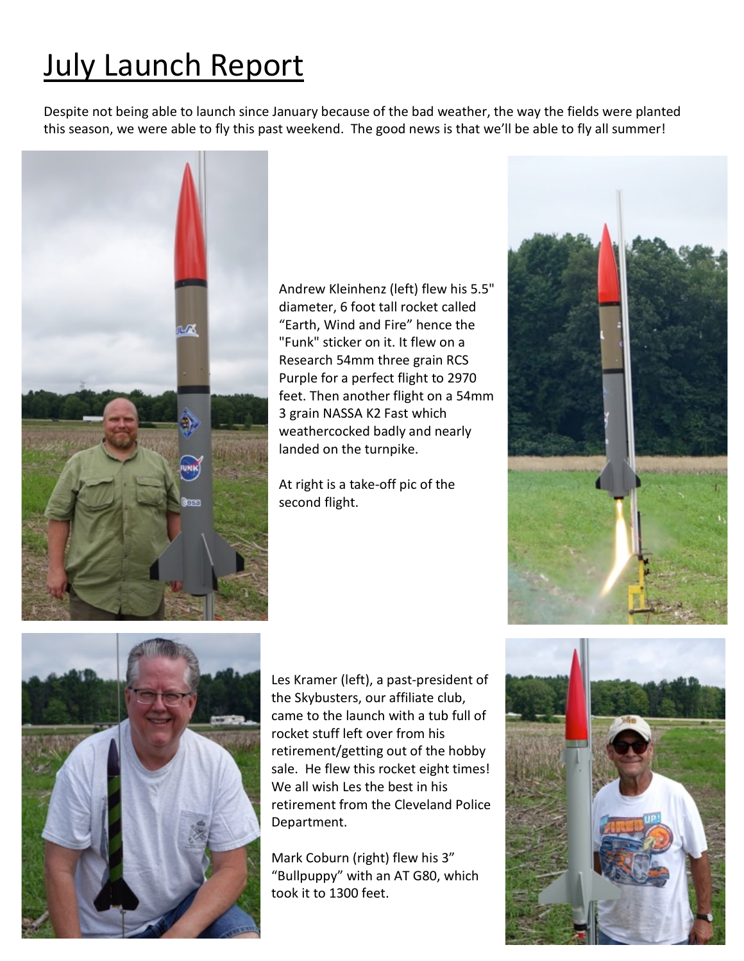## July Launch Report

Despite not being able to launch since January because of the bad weather, the way the fields were planted this season, we were able to fly this past weekend. The good news is that we'll be able to fly all summer!



Andrew Kleinhenz (left) flew his 5.5" diameter, 6 foot tall rocket called "Earth, Wind and Fire" hence the "Funk" sticker on it. It flew on a Research 54mm three grain RCS Purple for a perfect flight to 2970 feet. Then another flight on a 54mm 3 grain NASSA K2 Fast which weathercocked badly and nearly landed on the turnpike.

At right is a take-off pic of the second flight.



Les Kramer (left), a past-president of the Skybusters, our affiliate club, came to the launch with a tub full of rocket stuff left over from his retirement/getting out of the hobby sale. He flew this rocket eight times! We all wish Les the best in his retirement from the Cleveland Police Department.

Mark Coburn (right) flew his 3" "Bullpuppy" with an AT G80, which took it to 1300 feet.



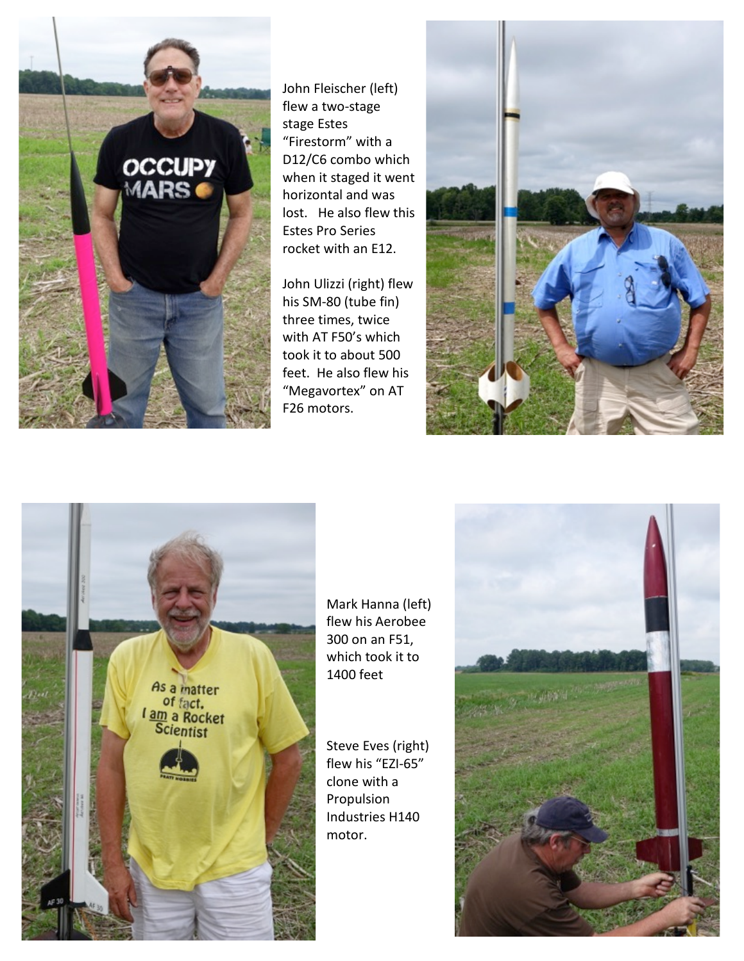

John Fleischer (left) flew a two-stage stage Estes "Firestorm" with a D12/C6 combo which when it staged it went horizontal and was lost. He also flew this Estes Pro Series rocket with an E12.

John Ulizzi (right) flew his SM-80 (tube fin) three times, twice with AT F50's which took it to about 500 feet. He also flew his "Megavortex" on AT F26 motors.





Mark Hanna (left) flew his Aerobee 300 on an F51, which took it to 1400 feet

Steve Eves (right) flew his "EZI-65" clone with a Propulsion Industries H140 motor.

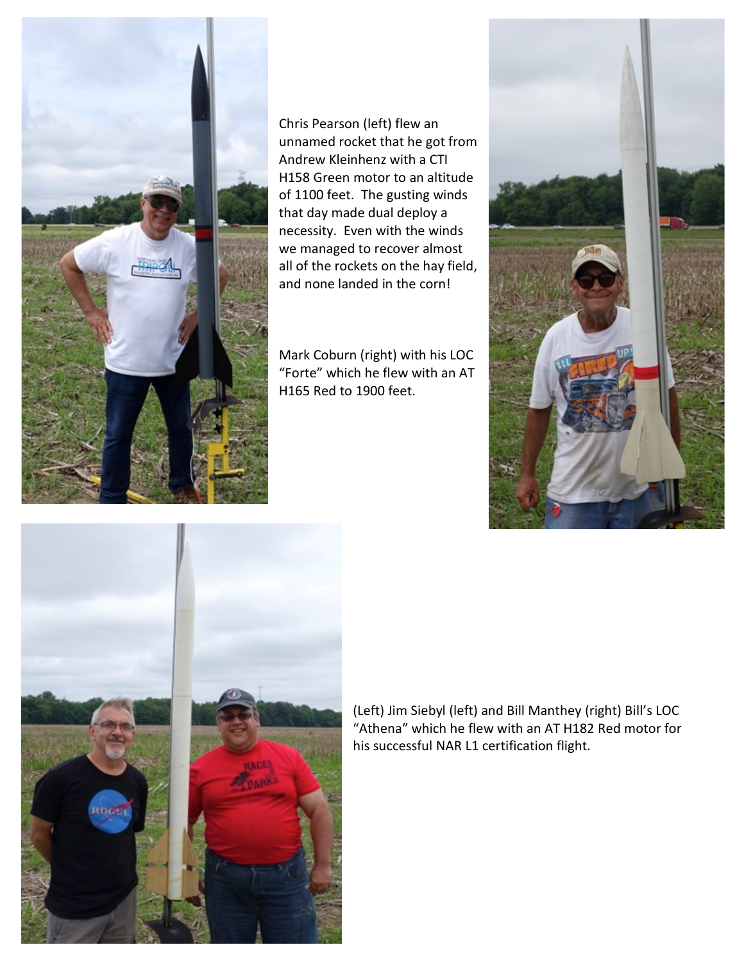

Chris Pearson (left) flew an unnamed rocket that he got from Andrew Kleinhenz with a CTI H158 Green motor to an altitude of 1100 feet. The gusting winds that day made dual deploy a necessity. Even with the winds we managed to recover almost all of the rockets on the hay field, and none landed in the corn!

Mark Coburn (right) with his LOC "Forte" which he flew with an AT H165 Red to 1900 feet.





(Left) Jim Siebyl (left) and Bill Manthey (right) Bill's LOC "Athena" which he flew with an AT H182 Red motor for his successful NAR L1 certification flight.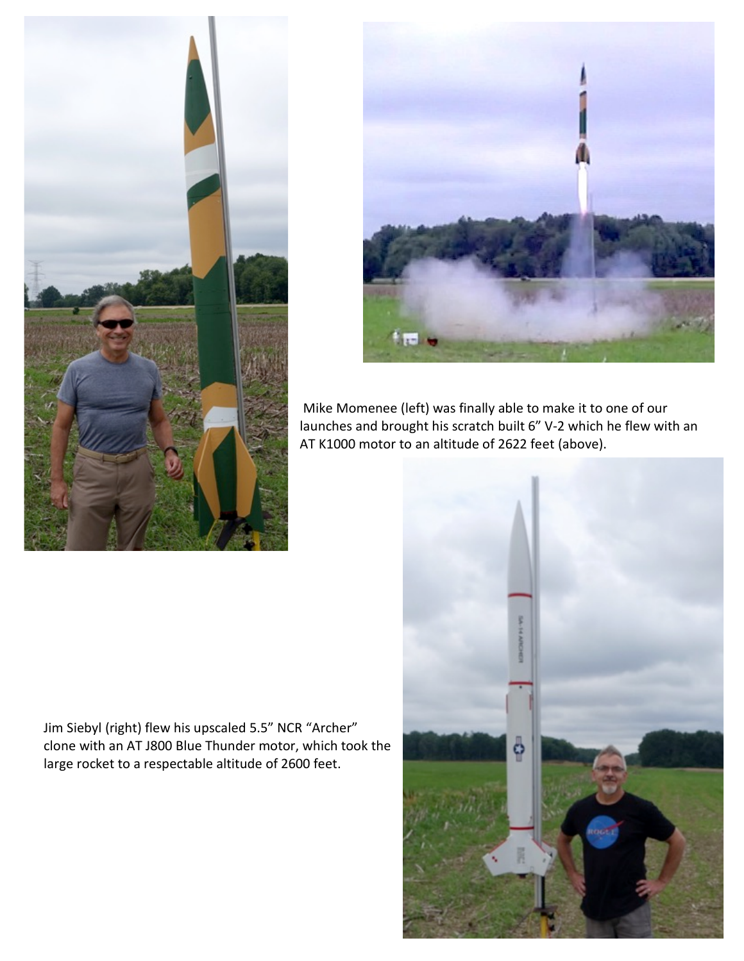



Mike Momenee (left) was finally able to make it to one of our launches and brought his scratch built 6" V-2 which he flew with an AT K1000 motor to an altitude of 2622 feet (above).

Jim Siebyl (right) flew his upscaled 5.5" NCR "Archer" clone with an AT J800 Blue Thunder motor, which took the large rocket to a respectable altitude of 2600 feet.

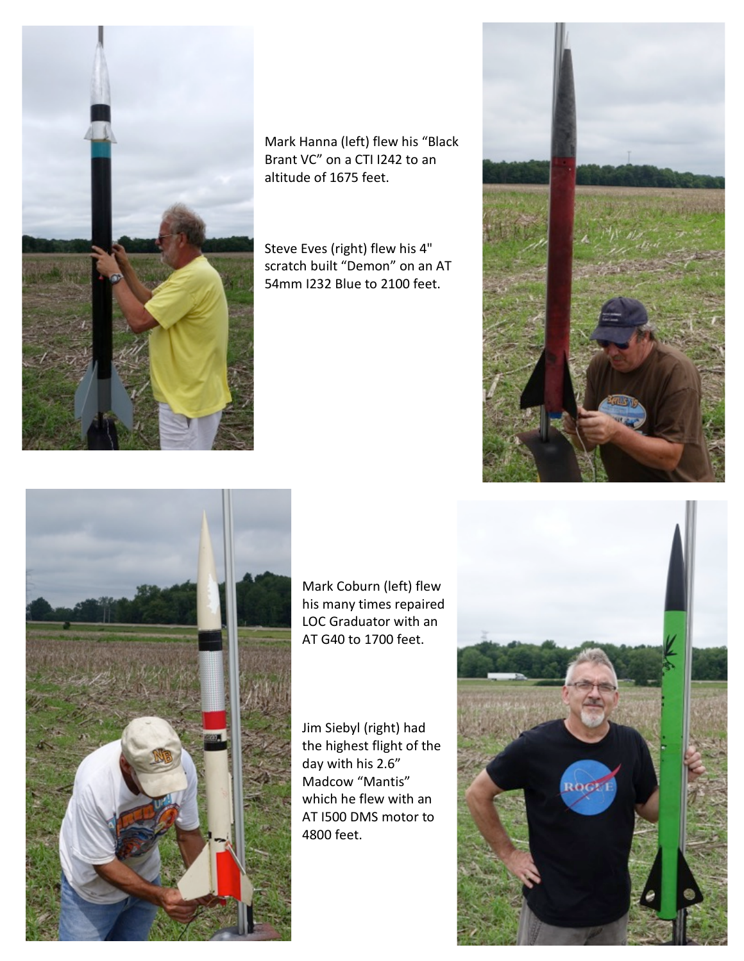

Mark Hanna (left) flew his "Black Brant VC" on a CTI I242 to an altitude of 1675 feet.

Steve Eves (right) flew his 4" scratch built "Demon" on an AT 54mm I232 Blue to 2100 feet.



Mark Coburn (left) flew his many times repaired LOC Graduator with an AT G40 to 1700 feet.

Jim Siebyl (right) had the highest flight of the day with his 2.6" Madcow "Mantis" which he flew with an AT I500 DMS motor to 4800 feet.